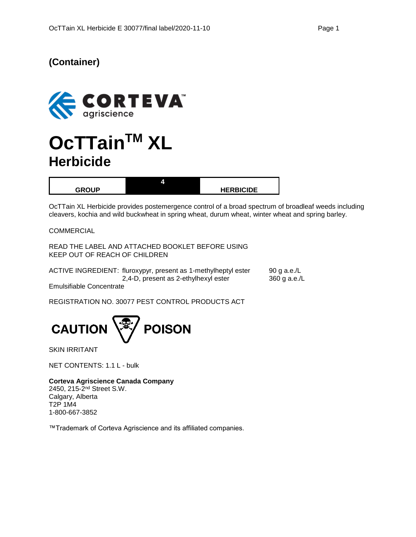## **(Container)**



# **OcTTainTM XL Herbicide**

| <b>GRAIID</b> | <b>HERBICIDE</b> |
|---------------|------------------|

OcTTain XL Herbicide provides postemergence control of a broad spectrum of broadleaf weeds including cleavers, kochia and wild buckwheat in spring wheat, durum wheat, winter wheat and spring barley.

**COMMERCIAL** 

READ THE LABEL AND ATTACHED BOOKLET BEFORE USING KEEP OUT OF REACH OF CHILDREN

|                          | ACTIVE INGREDIENT: fluroxypyr, present as 1-methylheptyl ester | 90 g a.e./L  |
|--------------------------|----------------------------------------------------------------|--------------|
|                          | 2,4-D, present as 2-ethylhexyl ester                           | 360 g a.e./L |
| Emulsifiable Concentrate |                                                                |              |

REGISTRATION NO. 30077 PEST CONTROL PRODUCTS ACT



SKIN IRRITANT

NET CONTENTS: 1.1 L - bulk

**Corteva Agriscience Canada Company**

2450, 215-2<sup>nd</sup> Street S.W. Calgary, Alberta T2P 1M4 1-800-667-3852

™Trademark of Corteva Agriscience and its affiliated companies.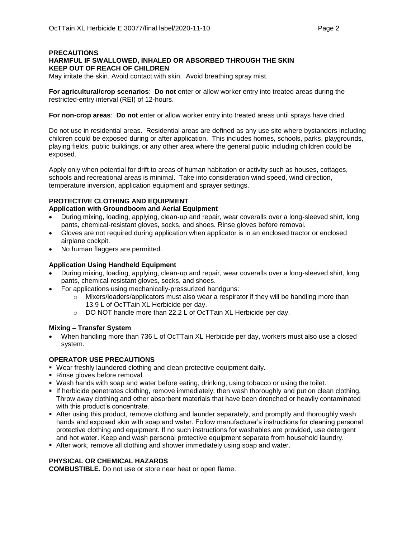## **PRECAUTIONS HARMFUL IF SWALLOWED, INHALED OR ABSORBED THROUGH THE SKIN KEEP OUT OF REACH OF CHILDREN**

May irritate the skin. Avoid contact with skin. Avoid breathing spray mist.

**For agricultural/crop scenarios**: **Do not** enter or allow worker entry into treated areas during the restricted-entry interval (REI) of 12-hours.

**For non-crop areas**: **Do not** enter or allow worker entry into treated areas until sprays have dried.

Do not use in residential areas. Residential areas are defined as any use site where bystanders including children could be exposed during or after application. This includes homes, schools, parks, playgrounds, playing fields, public buildings, or any other area where the general public including children could be exposed.

Apply only when potential for drift to areas of human habitation or activity such as houses, cottages, schools and recreational areas is minimal. Take into consideration wind speed, wind direction, temperature inversion, application equipment and sprayer settings.

## **PROTECTIVE CLOTHING AND EQUIPMENT**

## **Application with Groundboom and Aerial Equipment**

- During mixing, loading, applying, clean-up and repair, wear coveralls over a long-sleeved shirt, long pants, chemical-resistant gloves, socks, and shoes. Rinse gloves before removal.
- Gloves are not required during application when applicator is in an enclosed tractor or enclosed airplane cockpit.
- No human flaggers are permitted.

## **Application Using Handheld Equipment**

- During mixing, loading, applying, clean-up and repair, wear coveralls over a long-sleeved shirt, long pants, chemical-resistant gloves, socks, and shoes.
- For applications using mechanically-pressurized handguns:
	- $\circ$  Mixers/loaders/applicators must also wear a respirator if they will be handling more than 13.9 L of OcTTain XL Herbicide per day.
	- o DO NOT handle more than 22.2 L of OcTTain XL Herbicide per day.

### **Mixing – Transfer System**

• When handling more than 736 L of OcTTain XL Herbicide per day, workers must also use a closed system.

### **OPERATOR USE PRECAUTIONS**

- Wear freshly laundered clothing and clean protective equipment daily.
- Rinse gloves before removal.
- **Wash hands with soap and water before eating, drinking, using tobacco or using the toilet.**
- If herbicide penetrates clothing, remove immediately; then wash thoroughly and put on clean clothing. Throw away clothing and other absorbent materials that have been drenched or heavily contaminated with this product's concentrate.
- **•** After using this product, remove clothing and launder separately, and promptly and thoroughly wash hands and exposed skin with soap and water. Follow manufacturer's instructions for cleaning personal protective clothing and equipment. If no such instructions for washables are provided, use detergent and hot water. Keep and wash personal protective equipment separate from household laundry.
- **After work, remove all clothing and shower immediately using soap and water.**

## **PHYSICAL OR CHEMICAL HAZARDS**

**COMBUSTIBLE.** Do not use or store near heat or open flame.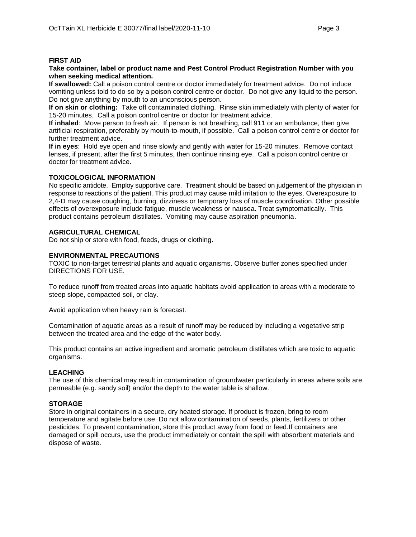#### **FIRST AID**

#### **Take container, label or product name and Pest Control Product Registration Number with you when seeking medical attention.**

**If swallowed:** Call a poison control centre or doctor immediately for treatment advice. Do not induce vomiting unless told to do so by a poison control centre or doctor. Do not give **any** liquid to the person. Do not give anything by mouth to an unconscious person.

**If on skin or clothing:** Take off contaminated clothing. Rinse skin immediately with plenty of water for 15-20 minutes. Call a poison control centre or doctor for treatment advice.

**If inhaled**: Move person to fresh air. If person is not breathing, call 911 or an ambulance, then give artificial respiration, preferably by mouth-to-mouth, if possible. Call a poison control centre or doctor for further treatment advice.

**If in eyes**: Hold eye open and rinse slowly and gently with water for 15-20 minutes. Remove contact lenses, if present, after the first 5 minutes, then continue rinsing eye. Call a poison control centre or doctor for treatment advice.

### **TOXICOLOGICAL INFORMATION**

No specific antidote. Employ supportive care. Treatment should be based on judgement of the physician in response to reactions of the patient. This product may cause mild irritation to the eyes. Overexposure to 2,4-D may cause coughing, burning, dizziness or temporary loss of muscle coordination. Other possible effects of overexposure include fatigue, muscle weakness or nausea. Treat symptomatically. This product contains petroleum distillates. Vomiting may cause aspiration pneumonia.

### **AGRICULTURAL CHEMICAL**

Do not ship or store with food, feeds, drugs or clothing.

### **ENVIRONMENTAL PRECAUTIONS**

TOXIC to non-target terrestrial plants and aquatic organisms. Observe buffer zones specified under DIRECTIONS FOR USE.

To reduce runoff from treated areas into aquatic habitats avoid application to areas with a moderate to steep slope, compacted soil, or clay.

Avoid application when heavy rain is forecast.

Contamination of aquatic areas as a result of runoff may be reduced by including a vegetative strip between the treated area and the edge of the water body.

This product contains an active ingredient and aromatic petroleum distillates which are toxic to aquatic organisms.

### **LEACHING**

The use of this chemical may result in contamination of groundwater particularly in areas where soils are permeable (e.g. sandy soil) and/or the depth to the water table is shallow.

### **STORAGE**

Store in original containers in a secure, dry heated storage. If product is frozen, bring to room temperature and agitate before use. Do not allow contamination of seeds, plants, fertilizers or other pesticides. To prevent contamination, store this product away from food or feed.If containers are damaged or spill occurs, use the product immediately or contain the spill with absorbent materials and dispose of waste.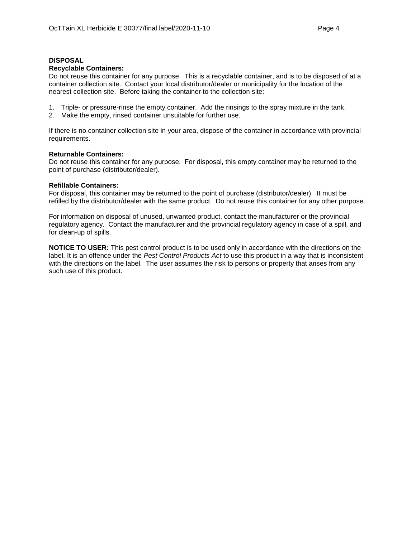#### **DISPOSAL**

#### **Recyclable Containers:**

Do not reuse this container for any purpose. This is a recyclable container, and is to be disposed of at a container collection site. Contact your local distributor/dealer or municipality for the location of the nearest collection site. Before taking the container to the collection site:

- 1. Triple- or pressure-rinse the empty container. Add the rinsings to the spray mixture in the tank.
- 2. Make the empty, rinsed container unsuitable for further use.

If there is no container collection site in your area, dispose of the container in accordance with provincial requirements.

#### **Returnable Containers:**

Do not reuse this container for any purpose. For disposal, this empty container may be returned to the point of purchase (distributor/dealer).

#### **Refillable Containers:**

For disposal, this container may be returned to the point of purchase (distributor/dealer). It must be refilled by the distributor/dealer with the same product. Do not reuse this container for any other purpose.

For information on disposal of unused, unwanted product, contact the manufacturer or the provincial regulatory agency. Contact the manufacturer and the provincial regulatory agency in case of a spill, and for clean-up of spills.

**NOTICE TO USER:** This pest control product is to be used only in accordance with the directions on the label. It is an offence under the *Pest Control Products Act* to use this product in a way that is inconsistent with the directions on the label. The user assumes the risk to persons or property that arises from any such use of this product.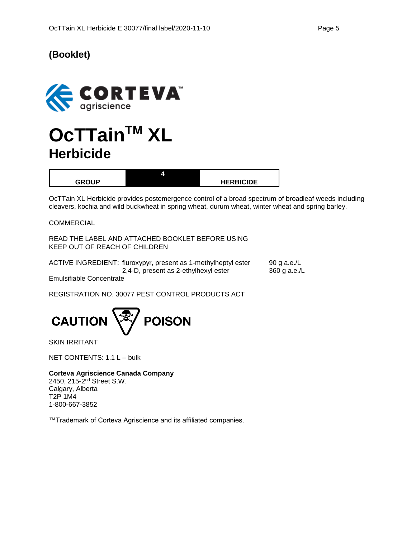## **(Booklet)**



# **OcTTainTM XL Herbicide**

|               | ,,,, |                  |
|---------------|------|------------------|
| <b>CDAIID</b> |      | <b>HERBICIDE</b> |

OcTTain XL Herbicide provides postemergence control of a broad spectrum of broadleaf weeds including cleavers, kochia and wild buckwheat in spring wheat, durum wheat, winter wheat and spring barley.

COMMERCIAL

READ THE LABEL AND ATTACHED BOOKLET BEFORE USING KEEP OUT OF REACH OF CHILDREN

|                          | ACTIVE INGREDIENT: fluroxypyr, present as 1-methylheptyl ester | 90 g a.e./L  |
|--------------------------|----------------------------------------------------------------|--------------|
|                          | 2,4-D, present as 2-ethylhexyl ester                           | 360 g a.e./L |
| Emulaifiable Canaantrata |                                                                |              |

Emulsifiable Concentrate

REGISTRATION NO. 30077 PEST CONTROL PRODUCTS ACT



SKIN IRRITANT

NET CONTENTS: 1.1 L – bulk

**Corteva Agriscience Canada Company** 2450, 215-2<sup>nd</sup> Street S.W. Calgary, Alberta T2P 1M4 1-800-667-3852

™Trademark of Corteva Agriscience and its affiliated companies.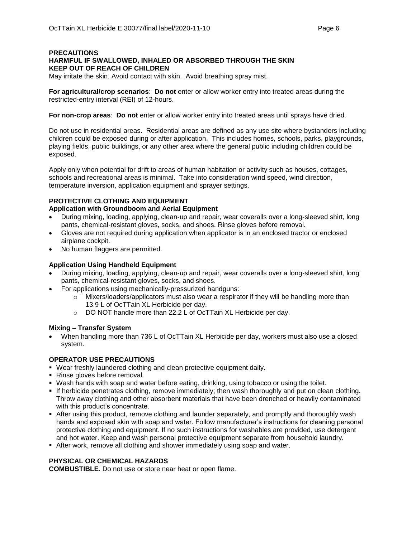## **PRECAUTIONS HARMFUL IF SWALLOWED, INHALED OR ABSORBED THROUGH THE SKIN KEEP OUT OF REACH OF CHILDREN**

May irritate the skin. Avoid contact with skin. Avoid breathing spray mist.

**For agricultural/crop scenarios**: **Do not** enter or allow worker entry into treated areas during the restricted-entry interval (REI) of 12-hours.

**For non-crop areas**: **Do not** enter or allow worker entry into treated areas until sprays have dried.

Do not use in residential areas. Residential areas are defined as any use site where bystanders including children could be exposed during or after application. This includes homes, schools, parks, playgrounds, playing fields, public buildings, or any other area where the general public including children could be exposed.

Apply only when potential for drift to areas of human habitation or activity such as houses, cottages, schools and recreational areas is minimal. Take into consideration wind speed, wind direction, temperature inversion, application equipment and sprayer settings.

## **PROTECTIVE CLOTHING AND EQUIPMENT**

## **Application with Groundboom and Aerial Equipment**

- During mixing, loading, applying, clean-up and repair, wear coveralls over a long-sleeved shirt, long pants, chemical-resistant gloves, socks, and shoes. Rinse gloves before removal.
- Gloves are not required during application when applicator is in an enclosed tractor or enclosed airplane cockpit.
- No human flaggers are permitted.

## **Application Using Handheld Equipment**

- During mixing, loading, applying, clean-up and repair, wear coveralls over a long-sleeved shirt, long pants, chemical-resistant gloves, socks, and shoes.
- For applications using mechanically-pressurized handguns:
	- $\circ$  Mixers/loaders/applicators must also wear a respirator if they will be handling more than 13.9 L of OcTTain XL Herbicide per day.
	- o DO NOT handle more than 22.2 L of OcTTain XL Herbicide per day.

### **Mixing – Transfer System**

• When handling more than 736 L of OcTTain XL Herbicide per day, workers must also use a closed system.

### **OPERATOR USE PRECAUTIONS**

- Wear freshly laundered clothing and clean protective equipment daily.
- Rinse gloves before removal.
- **Wash hands with soap and water before eating, drinking, using tobacco or using the toilet.**
- If herbicide penetrates clothing, remove immediately; then wash thoroughly and put on clean clothing. Throw away clothing and other absorbent materials that have been drenched or heavily contaminated with this product's concentrate.
- **After using this product, remove clothing and launder separately, and promptly and thoroughly wash** hands and exposed skin with soap and water. Follow manufacturer's instructions for cleaning personal protective clothing and equipment. If no such instructions for washables are provided, use detergent and hot water. Keep and wash personal protective equipment separate from household laundry.
- **After work, remove all clothing and shower immediately using soap and water.**

## **PHYSICAL OR CHEMICAL HAZARDS**

**COMBUSTIBLE.** Do not use or store near heat or open flame.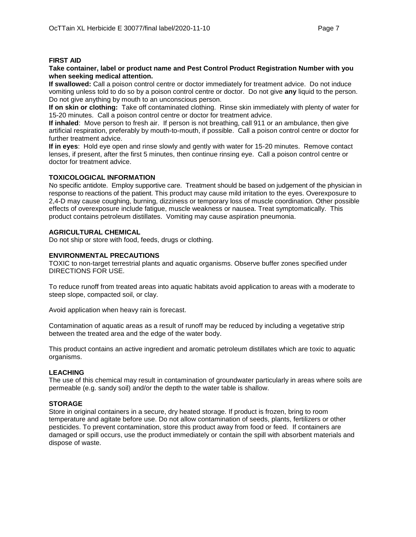### **FIRST AID**

#### **Take container, label or product name and Pest Control Product Registration Number with you when seeking medical attention.**

**If swallowed:** Call a poison control centre or doctor immediately for treatment advice. Do not induce vomiting unless told to do so by a poison control centre or doctor. Do not give **any** liquid to the person. Do not give anything by mouth to an unconscious person.

**If on skin or clothing:** Take off contaminated clothing. Rinse skin immediately with plenty of water for 15-20 minutes. Call a poison control centre or doctor for treatment advice.

**If inhaled**: Move person to fresh air. If person is not breathing, call 911 or an ambulance, then give artificial respiration, preferably by mouth-to-mouth, if possible. Call a poison control centre or doctor for further treatment advice.

**If in eyes**: Hold eye open and rinse slowly and gently with water for 15-20 minutes. Remove contact lenses, if present, after the first 5 minutes, then continue rinsing eye. Call a poison control centre or doctor for treatment advice.

### **TOXICOLOGICAL INFORMATION**

No specific antidote. Employ supportive care. Treatment should be based on judgement of the physician in response to reactions of the patient. This product may cause mild irritation to the eyes. Overexposure to 2,4-D may cause coughing, burning, dizziness or temporary loss of muscle coordination. Other possible effects of overexposure include fatigue, muscle weakness or nausea. Treat symptomatically. This product contains petroleum distillates. Vomiting may cause aspiration pneumonia.

## **AGRICULTURAL CHEMICAL**

Do not ship or store with food, feeds, drugs or clothing.

## **ENVIRONMENTAL PRECAUTIONS**

TOXIC to non-target terrestrial plants and aquatic organisms. Observe buffer zones specified under DIRECTIONS FOR USE.

To reduce runoff from treated areas into aquatic habitats avoid application to areas with a moderate to steep slope, compacted soil, or clay.

Avoid application when heavy rain is forecast.

Contamination of aquatic areas as a result of runoff may be reduced by including a vegetative strip between the treated area and the edge of the water body.

This product contains an active ingredient and aromatic petroleum distillates which are toxic to aquatic organisms.

### **LEACHING**

The use of this chemical may result in contamination of groundwater particularly in areas where soils are permeable (e.g. sandy soil) and/or the depth to the water table is shallow.

## **STORAGE**

Store in original containers in a secure, dry heated storage. If product is frozen, bring to room temperature and agitate before use. Do not allow contamination of seeds, plants, fertilizers or other pesticides. To prevent contamination, store this product away from food or feed. If containers are damaged or spill occurs, use the product immediately or contain the spill with absorbent materials and dispose of waste.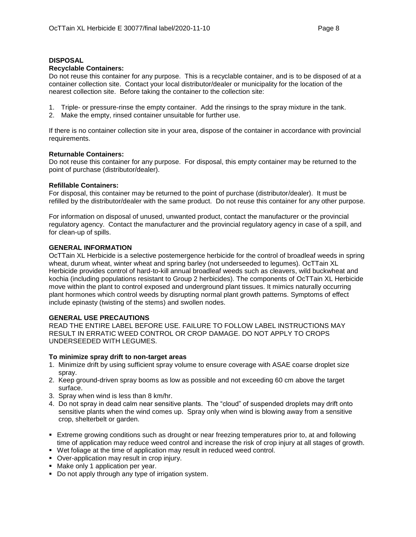## **DISPOSAL**

### **Recyclable Containers:**

Do not reuse this container for any purpose. This is a recyclable container, and is to be disposed of at a container collection site. Contact your local distributor/dealer or municipality for the location of the nearest collection site. Before taking the container to the collection site:

- 1. Triple- or pressure-rinse the empty container. Add the rinsings to the spray mixture in the tank.
- 2. Make the empty, rinsed container unsuitable for further use.

If there is no container collection site in your area, dispose of the container in accordance with provincial requirements.

### **Returnable Containers:**

Do not reuse this container for any purpose. For disposal, this empty container may be returned to the point of purchase (distributor/dealer).

## **Refillable Containers:**

For disposal, this container may be returned to the point of purchase (distributor/dealer). It must be refilled by the distributor/dealer with the same product. Do not reuse this container for any other purpose.

For information on disposal of unused, unwanted product, contact the manufacturer or the provincial regulatory agency. Contact the manufacturer and the provincial regulatory agency in case of a spill, and for clean-up of spills.

## **GENERAL INFORMATION**

OcTTain XL Herbicide is a selective postemergence herbicide for the control of broadleaf weeds in spring wheat, durum wheat, winter wheat and spring barley (not underseeded to legumes). OcTTain XL Herbicide provides control of hard-to-kill annual broadleaf weeds such as cleavers, wild buckwheat and kochia (including populations resistant to Group 2 herbicides). The components of OcTTain XL Herbicide move within the plant to control exposed and underground plant tissues. It mimics naturally occurring plant hormones which control weeds by disrupting normal plant growth patterns. Symptoms of effect include epinasty (twisting of the stems) and swollen nodes.

## **GENERAL USE PRECAUTIONS**

READ THE ENTIRE LABEL BEFORE USE. FAILURE TO FOLLOW LABEL INSTRUCTIONS MAY RESULT IN ERRATIC WEED CONTROL OR CROP DAMAGE. DO NOT APPLY TO CROPS UNDERSEEDED WITH LEGUMES.

### **To minimize spray drift to non-target areas**

- 1. Minimize drift by using sufficient spray volume to ensure coverage with ASAE coarse droplet size spray.
- 2. Keep ground-driven spray booms as low as possible and not exceeding 60 cm above the target surface.
- 3. Spray when wind is less than 8 km/hr.
- 4. Do not spray in dead calm near sensitive plants. The "cloud" of suspended droplets may drift onto sensitive plants when the wind comes up. Spray only when wind is blowing away from a sensitive crop, shelterbelt or garden.
- **Extreme growing conditions such as drought or near freezing temperatures prior to, at and following** time of application may reduce weed control and increase the risk of crop injury at all stages of growth.
- Wet foliage at the time of application may result in reduced weed control.
- Over-application may result in crop injury.
- Make only 1 application per year.
- Do not apply through any type of irrigation system.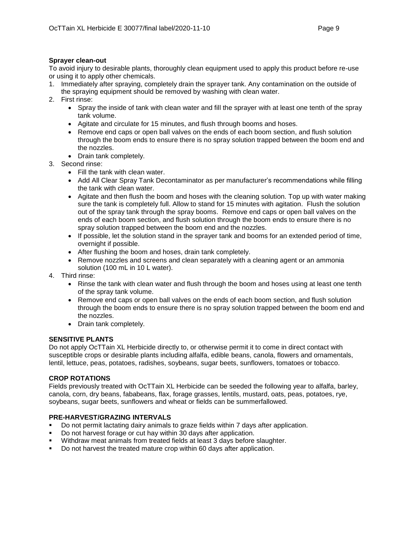## **Sprayer clean-out**

To avoid injury to desirable plants, thoroughly clean equipment used to apply this product before re-use or using it to apply other chemicals.

- 1. Immediately after spraying, completely drain the sprayer tank. Any contamination on the outside of the spraying equipment should be removed by washing with clean water.
- 2. First rinse:
	- Spray the inside of tank with clean water and fill the sprayer with at least one tenth of the spray tank volume.
	- Agitate and circulate for 15 minutes, and flush through booms and hoses.
	- Remove end caps or open ball valves on the ends of each boom section, and flush solution through the boom ends to ensure there is no spray solution trapped between the boom end and the nozzles.
	- Drain tank completely.
- 3. Second rinse:
	- Fill the tank with clean water.
	- Add All Clear Spray Tank Decontaminator as per manufacturer's recommendations while filling the tank with clean water.
	- Agitate and then flush the boom and hoses with the cleaning solution. Top up with water making sure the tank is completely full. Allow to stand for 15 minutes with agitation. Flush the solution out of the spray tank through the spray booms. Remove end caps or open ball valves on the ends of each boom section, and flush solution through the boom ends to ensure there is no spray solution trapped between the boom end and the nozzles.
	- If possible, let the solution stand in the sprayer tank and booms for an extended period of time, overnight if possible.
	- After flushing the boom and hoses, drain tank completely.
	- Remove nozzles and screens and clean separately with a cleaning agent or an ammonia solution (100 mL in 10 L water).
- 4. Third rinse:
	- Rinse the tank with clean water and flush through the boom and hoses using at least one tenth of the spray tank volume.
	- Remove end caps or open ball valves on the ends of each boom section, and flush solution through the boom ends to ensure there is no spray solution trapped between the boom end and the nozzles.
	- Drain tank completely.

## **SENSITIVE PLANTS**

Do not apply OcTTain XL Herbicide directly to, or otherwise permit it to come in direct contact with susceptible crops or desirable plants including alfalfa, edible beans, canola, flowers and ornamentals, lentil, lettuce, peas, potatoes, radishes, soybeans, sugar beets, sunflowers, tomatoes or tobacco.

## **CROP ROTATIONS**

Fields previously treated with OcTTain XL Herbicide can be seeded the following year to alfalfa, barley, canola, corn, dry beans, fababeans, flax, forage grasses, lentils, mustard, oats, peas, potatoes, rye, soybeans, sugar beets, sunflowers and wheat or fields can be summerfallowed.

## **PRE-HARVEST/GRAZING INTERVALS**

- Do not permit lactating dairy animals to graze fields within 7 days after application.
- Do not harvest forage or cut hay within 30 days after application.
- Withdraw meat animals from treated fields at least 3 days before slaughter.
- Do not harvest the treated mature crop within 60 days after application.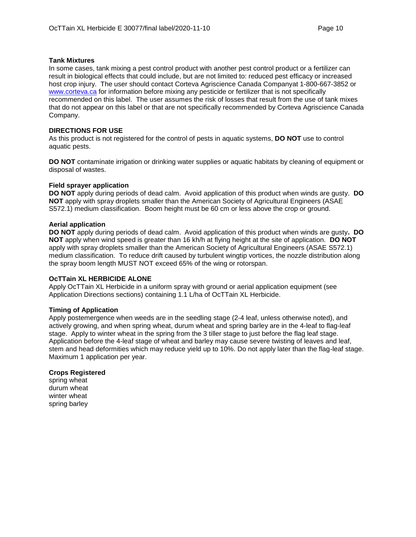### **Tank Mixtures**

In some cases, tank mixing a pest control product with another pest control product or a fertilizer can result in biological effects that could include, but are not limited to: reduced pest efficacy or increased host crop injury. The user should contact Corteva Agriscience Canada Companyat 1-800-667-3852 or [www.corteva.ca](http://www.corteva.ca/) for information before mixing any pesticide or fertilizer that is not specifically recommended on this label. The user assumes the risk of losses that result from the use of tank mixes that do not appear on this label or that are not specifically recommended by Corteva Agriscience Canada Company.

## **DIRECTIONS FOR USE**

As this product is not registered for the control of pests in aquatic systems, **DO NOT** use to control aquatic pests.

**DO NOT** contaminate irrigation or drinking water supplies or aquatic habitats by cleaning of equipment or disposal of wastes.

## **Field sprayer application**

**DO NOT** apply during periods of dead calm. Avoid application of this product when winds are gusty. **DO NOT** apply with spray droplets smaller than the American Society of Agricultural Engineers (ASAE S572.1) medium classification. Boom height must be 60 cm or less above the crop or ground.

## **Aerial application**

**DO NOT** apply during periods of dead calm. Avoid application of this product when winds are gusty**. DO NOT** apply when wind speed is greater than 16 kh/h at flying height at the site of application. **DO NOT** apply with spray droplets smaller than the American Society of Agricultural Engineers (ASAE S572.1) medium classification. To reduce drift caused by turbulent wingtip vortices, the nozzle distribution along the spray boom length MUST NOT exceed 65% of the wing or rotorspan.

## **OcTTain XL HERBICIDE ALONE**

Apply OcTTain XL Herbicide in a uniform spray with ground or aerial application equipment (see Application Directions sections) containing 1.1 L/ha of OcTTain XL Herbicide.

### **Timing of Application**

Apply postemergence when weeds are in the seedling stage (2-4 leaf, unless otherwise noted), and actively growing, and when spring wheat, durum wheat and spring barley are in the 4-leaf to flag-leaf stage. Apply to winter wheat in the spring from the 3 tiller stage to just before the flag leaf stage. Application before the 4-leaf stage of wheat and barley may cause severe twisting of leaves and leaf, stem and head deformities which may reduce yield up to 10%. Do not apply later than the flag-leaf stage. Maximum 1 application per year.

### **Crops Registered**

spring wheat durum wheat winter wheat spring barley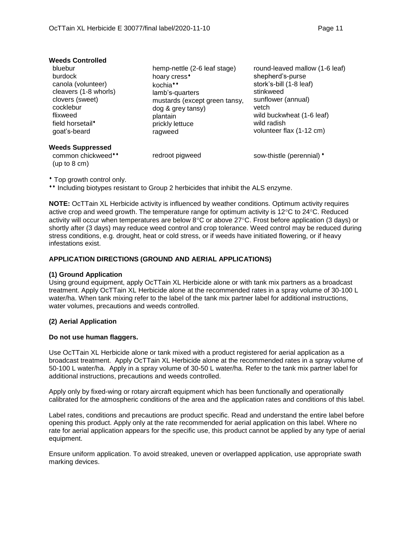| <b>Weeds Controlled</b>                                                                                                                                       |                                                                                                                                                                                                     |                                                                                                                                                                                                   |
|---------------------------------------------------------------------------------------------------------------------------------------------------------------|-----------------------------------------------------------------------------------------------------------------------------------------------------------------------------------------------------|---------------------------------------------------------------------------------------------------------------------------------------------------------------------------------------------------|
| bluebur<br>burdock<br>canola (volunteer)<br>cleavers (1-8 whorls)<br>clovers (sweet)<br>cocklebur<br>flixweed<br>field horsetail <sup>*</sup><br>qoat's-beard | hemp-nettle (2-6 leaf stage)<br>hoary cress <sup>+</sup><br>kochia <sup>**</sup><br>lamb's-quarters<br>mustards (except green tansy,<br>dog & grey tansy)<br>plantain<br>prickly lettuce<br>ragweed | round-leaved mallow (1-6 leaf)<br>shepherd's-purse<br>stork's-bill (1-8 leaf)<br>stinkweed<br>sunflower (annual)<br>vetch<br>wild buckwheat (1-6 leaf)<br>wild radish<br>volunteer flax (1-12 cm) |
| <b>Weeds Suppressed</b><br>common chickweed**                                                                                                                 | redroot pigweed                                                                                                                                                                                     | sow-thistle (perennial) *                                                                                                                                                                         |
|                                                                                                                                                               |                                                                                                                                                                                                     |                                                                                                                                                                                                   |

Top growth control only.

(up to 8 cm)

\*\* Including biotypes resistant to Group 2 herbicides that inhibit the ALS enzyme.

**NOTE:** OcTTain XL Herbicide activity is influenced by weather conditions. Optimum activity requires active crop and weed growth. The temperature range for optimum activity is  $12^{\circ}$ C to 24 $^{\circ}$ C. Reduced activity will occur when temperatures are below  $8^{\circ}$ C or above 27 $^{\circ}$ C. Frost before application (3 days) or shortly after (3 days) may reduce weed control and crop tolerance. Weed control may be reduced during stress conditions, e.g. drought, heat or cold stress, or if weeds have initiated flowering, or if heavy infestations exist.

## **APPLICATION DIRECTIONS (GROUND AND AERIAL APPLICATIONS)**

### **(1) Ground Application**

Using ground equipment, apply OcTTain XL Herbicide alone or with tank mix partners as a broadcast treatment. Apply OcTTain XL Herbicide alone at the recommended rates in a spray volume of 30-100 L water/ha. When tank mixing refer to the label of the tank mix partner label for additional instructions, water volumes, precautions and weeds controlled.

### **(2) Aerial Application**

### **Do not use human flaggers.**

Use OcTTain XL Herbicide alone or tank mixed with a product registered for aerial application as a broadcast treatment. Apply OcTTain XL Herbicide alone at the recommended rates in a spray volume of 50-100 L water/ha. Apply in a spray volume of 30-50 L water/ha. Refer to the tank mix partner label for additional instructions, precautions and weeds controlled.

Apply only by fixed-wing or rotary aircraft equipment which has been functionally and operationally calibrated for the atmospheric conditions of the area and the application rates and conditions of this label.

Label rates, conditions and precautions are product specific. Read and understand the entire label before opening this product. Apply only at the rate recommended for aerial application on this label. Where no rate for aerial application appears for the specific use, this product cannot be applied by any type of aerial equipment.

Ensure uniform application. To avoid streaked, uneven or overlapped application, use appropriate swath marking devices.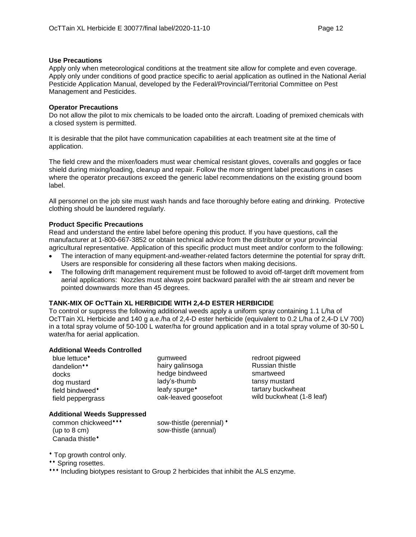### **Use Precautions**

Apply only when meteorological conditions at the treatment site allow for complete and even coverage. Apply only under conditions of good practice specific to aerial application as outlined in the National Aerial Pesticide Application Manual, developed by the Federal/Provincial/Territorial Committee on Pest Management and Pesticides.

## **Operator Precautions**

Do not allow the pilot to mix chemicals to be loaded onto the aircraft. Loading of premixed chemicals with a closed system is permitted.

It is desirable that the pilot have communication capabilities at each treatment site at the time of application.

The field crew and the mixer/loaders must wear chemical resistant gloves, coveralls and goggles or face shield during mixing/loading, cleanup and repair. Follow the more stringent label precautions in cases where the operator precautions exceed the generic label recommendations on the existing ground boom label.

All personnel on the job site must wash hands and face thoroughly before eating and drinking. Protective clothing should be laundered regularly.

## **Product Specific Precautions**

Read and understand the entire label before opening this product. If you have questions, call the manufacturer at 1-800-667-3852 or obtain technical advice from the distributor or your provincial agricultural representative. Application of this specific product must meet and/or conform to the following:

- The interaction of many equipment-and-weather-related factors determine the potential for spray drift. Users are responsible for considering all these factors when making decisions.
- The following drift management requirement must be followed to avoid off-target drift movement from aerial applications: Nozzles must always point backward parallel with the air stream and never be pointed downwards more than 45 degrees.

## **TANK-MIX OF OcTTain XL HERBICIDE WITH 2,4-D ESTER HERBICIDE**

To control or suppress the following additional weeds apply a uniform spray containing 1.1 L/ha of OcTTain XL Herbicide and 140 g a.e./ha of 2,4-D ester herbicide (equivalent to 0.2 L/ha of 2,4-D LV 700) in a total spray volume of 50-100 L water/ha for ground application and in a total spray volume of 30-50 L water/ha for aerial application.

### **Additional Weeds Controlled**

| blue lettuce <sup>*</sup> |  |  |  |  |
|---------------------------|--|--|--|--|
| dandelion**               |  |  |  |  |
| docks                     |  |  |  |  |
| dog mustard               |  |  |  |  |
| field bindweed*           |  |  |  |  |
| field peppergrass         |  |  |  |  |

gumweed hairy galinsoga hedge bindweed lady's-thumb leafy spurge oak-leaved goosefoot

redroot pigweed Russian thistle smartweed tansy mustard tartary buckwheat wild buckwheat (1-8 leaf)

## **Additional Weeds Suppressed**

common chickweed (up to 8 cm) Canada thistle<sup>\*</sup>

sow-thistle (perennial)  $*$ sow-thistle (annual)

- Top growth control only.
- \*\* Spring rosettes.
- \*\*\* Including biotypes resistant to Group 2 herbicides that inhibit the ALS enzyme.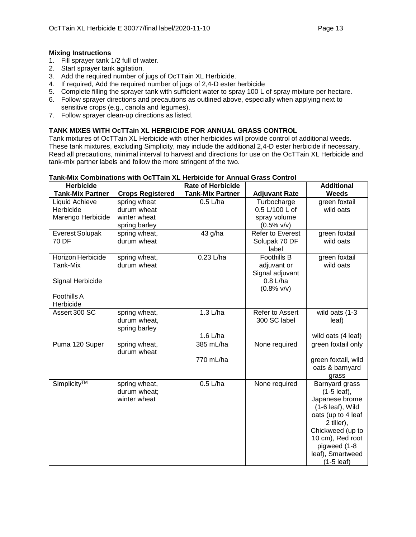## **Mixing Instructions**

- 1. Fill sprayer tank 1/2 full of water.
- 2. Start sprayer tank agitation.
- 3. Add the required number of jugs of OcTTain XL Herbicide.
- 4. If required, Add the required number of jugs of 2,4-D ester herbicide
- 5. Complete filling the sprayer tank with sufficient water to spray 100 L of spray mixture per hectare.
- 6. Follow sprayer directions and precautions as outlined above, especially when applying next to sensitive crops (e.g., canola and legumes).
- 7. Follow sprayer clean-up directions as listed.

## **TANK MIXES WITH OcTTain XL HERBICIDE FOR ANNUAL GRASS CONTROL**

Tank mixtures of OcTTain XL Herbicide with other herbicides will provide control of additional weeds. These tank mixtures, excluding Simplicity, may include the additional 2,4-D ester herbicide if necessary. Read all precautions, minimal interval to harvest and directions for use on the OcTTain XL Herbicide and tank-mix partner labels and follow the more stringent of the two.

| <b>Herbicide</b><br><b>Tank-Mix Partner</b>                                   | <b>Crops Registered</b>                        | <b>Rate of Herbicide</b><br><b>Tank-Mix Partner</b> | <b>Adjuvant Rate</b>                                                                | <b>Additional</b><br>Weeds                                                                                                                                                                                      |
|-------------------------------------------------------------------------------|------------------------------------------------|-----------------------------------------------------|-------------------------------------------------------------------------------------|-----------------------------------------------------------------------------------------------------------------------------------------------------------------------------------------------------------------|
| <b>Liquid Achieve</b><br>Herbicide                                            | spring wheat<br>durum wheat                    | $0.5$ L/ha                                          | Turbocharge<br>0.5 L/100 L of                                                       | green foxtail<br>wild oats                                                                                                                                                                                      |
| Marengo Herbicide                                                             | winter wheat<br>spring barley                  |                                                     | spray volume<br>$(0.5\%$ v/v)                                                       |                                                                                                                                                                                                                 |
| <b>Everest Solupak</b><br>70 DF                                               | spring wheat,<br>durum wheat                   | 43 g/ha                                             | Refer to Everest<br>Solupak 70 DF<br>label                                          | green foxtail<br>wild oats                                                                                                                                                                                      |
| Horizon Herbicide<br>Tank-Mix<br>Signal Herbicide<br>Foothills A<br>Herbicide | spring wheat,<br>durum wheat                   | $0.23$ L/ha                                         | <b>Foothills B</b><br>adjuvant or<br>Signal adjuvant<br>$0.8$ L/ha<br>$(0.8\%$ v/v) | green foxtail<br>wild oats                                                                                                                                                                                      |
| Assert 300 SC                                                                 | spring wheat,<br>durum wheat,<br>spring barley | $1.3$ L/ha<br>1.6 L/ha                              | Refer to Assert<br>300 SC label                                                     | wild oats (1-3<br>leaf)<br>wild oats (4 leaf)                                                                                                                                                                   |
| Puma 120 Super                                                                | spring wheat,<br>durum wheat                   | 385 mL/ha<br>770 mL/ha                              | None required                                                                       | green foxtail only<br>green foxtail, wild<br>oats & barnyard<br>grass                                                                                                                                           |
| Simplicity™                                                                   | spring wheat,<br>durum wheat;<br>winter wheat  | $0.5$ L/ha                                          | None required                                                                       | Barnyard grass<br>$(1-5$ leaf),<br>Japanese brome<br>$(1-6$ leaf), Wild<br>oats (up to 4 leaf<br>2 tiller),<br>Chickweed (up to<br>10 cm), Red root<br>pigweed (1-8<br>leaf), Smartweed<br>$(1-5 \text{ leaf})$ |

## **Tank-Mix Combinations with OcTTain XL Herbicide for Annual Grass Control**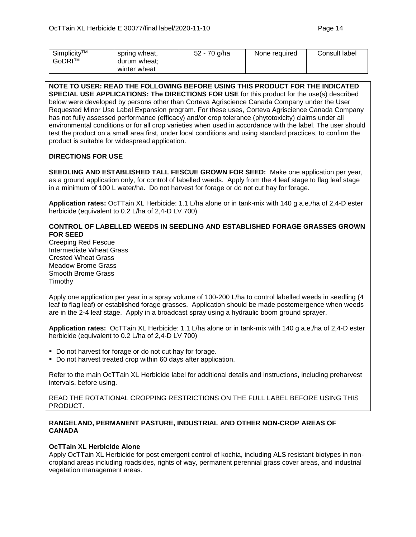| Simplicity™<br>GoDRI™ | spring wheat,<br>durum wheat;<br>winter wheat | 52 - 70 g/ha | None required | Consult label |
|-----------------------|-----------------------------------------------|--------------|---------------|---------------|
|                       |                                               |              |               |               |

**NOTE TO USER: READ THE FOLLOWING BEFORE USING THIS PRODUCT FOR THE INDICATED SPECIAL USE APPLICATIONS: The DIRECTIONS FOR USE** for this product for the use(s) described below were developed by persons other than Corteva Agriscience Canada Company under the User Requested Minor Use Label Expansion program. For these uses, Corteva Agriscience Canada Company has not fully assessed performance (efficacy) and/or crop tolerance (phytotoxicity) claims under all environmental conditions or for all crop varieties when used in accordance with the label. The user should test the product on a small area first, under local conditions and using standard practices, to confirm the product is suitable for widespread application.

## **DIRECTIONS FOR USE**

**SEEDLING AND ESTABLISHED TALL FESCUE GROWN FOR SEED:** Make one application per year, as a ground application only, for control of labelled weeds. Apply from the 4 leaf stage to flag leaf stage in a minimum of 100 L water/ha. Do not harvest for forage or do not cut hay for forage.

**Application rates:** OcTTain XL Herbicide: 1.1 L/ha alone or in tank-mix with 140 g a.e./ha of 2,4-D ester herbicide (equivalent to 0.2 L/ha of 2,4-D LV 700)

## **CONTROL OF LABELLED WEEDS IN SEEDLING AND ESTABLISHED FORAGE GRASSES GROWN FOR SEED**

Creeping Red Fescue Intermediate Wheat Grass Crested Wheat Grass Meadow Brome Grass Smooth Brome Grass **Timothy** 

Apply one application per year in a spray volume of 100-200 L/ha to control labelled weeds in seedling (4 leaf to flag leaf) or established forage grasses. Application should be made postemergence when weeds are in the 2-4 leaf stage. Apply in a broadcast spray using a hydraulic boom ground sprayer.

**Application rates:** OcTTain XL Herbicide: 1.1 L/ha alone or in tank-mix with 140 g a.e./ha of 2,4-D ester herbicide (equivalent to 0.2 L/ha of 2,4-D LV 700)

- Do not harvest for forage or do not cut hay for forage.
- Do not harvest treated crop within 60 days after application.

Refer to the main OcTTain XL Herbicide label for additional details and instructions, including preharvest intervals, before using.

READ THE ROTATIONAL CROPPING RESTRICTIONS ON THE FULL LABEL BEFORE USING THIS PRODUCT.

## **RANGELAND, PERMANENT PASTURE, INDUSTRIAL AND OTHER NON-CROP AREAS OF CANADA**

### **OcTTain XL Herbicide Alone**

Apply OcTTain XL Herbicide for post emergent control of kochia, including ALS resistant biotypes in noncropland areas including roadsides, rights of way, permanent perennial grass cover areas, and industrial vegetation management areas.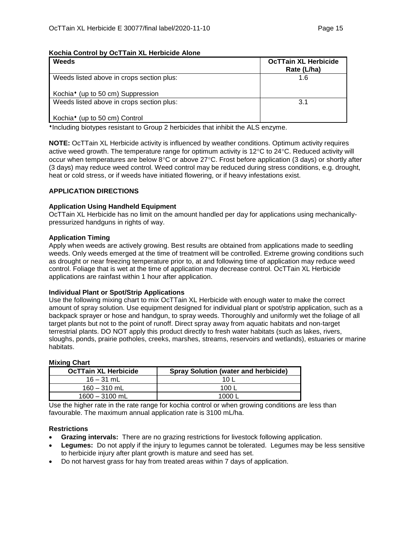## **Kochia Control by OcTTain XL Herbicide Alone**

| Weeds                                         | <b>OcTTain XL Herbicide</b><br>Rate (L/ha) |
|-----------------------------------------------|--------------------------------------------|
| Weeds listed above in crops section plus:     | 1.6                                        |
| Kochia <sup>*</sup> (up to 50 cm) Suppression |                                            |
| Weeds listed above in crops section plus:     | 3.1                                        |
| Kochia <sup>*</sup> (up to 50 cm) Control     |                                            |

Including biotypes resistant to Group 2 herbicides that inhibit the ALS enzyme.

**NOTE:** OcTTain XL Herbicide activity is influenced by weather conditions. Optimum activity requires active weed growth. The temperature range for optimum activity is 12 $\degree$ C to 24 $\degree$ C. Reduced activity will occur when temperatures are below  $8^{\circ}$ C or above  $27^{\circ}$ C. Frost before application (3 days) or shortly after (3 days) may reduce weed control. Weed control may be reduced during stress conditions, e.g. drought, heat or cold stress, or if weeds have initiated flowering, or if heavy infestations exist.

## **APPLICATION DIRECTIONS**

### **Application Using Handheld Equipment**

OcTTain XL Herbicide has no limit on the amount handled per day for applications using mechanicallypressurized handguns in rights of way.

### **Application Timing**

Apply when weeds are actively growing. Best results are obtained from applications made to seedling weeds. Only weeds emerged at the time of treatment will be controlled. Extreme growing conditions such as drought or near freezing temperature prior to, at and following time of application may reduce weed control. Foliage that is wet at the time of application may decrease control. OcTTain XL Herbicide applications are rainfast within 1 hour after application.

### **Individual Plant or Spot/Strip Applications**

Use the following mixing chart to mix OcTTain XL Herbicide with enough water to make the correct amount of spray solution. Use equipment designed for individual plant or spot/strip application, such as a backpack sprayer or hose and handgun, to spray weeds. Thoroughly and uniformly wet the foliage of all target plants but not to the point of runoff. Direct spray away from aquatic habitats and non-target terrestrial plants. DO NOT apply this product directly to fresh water habitats (such as lakes, rivers, sloughs, ponds, prairie potholes, creeks, marshes, streams, reservoirs and wetlands), estuaries or marine habitats.

## **Mixing Chart**

| <b>OcTTain XL Herbicide</b> | <b>Spray Solution (water and herbicide)</b> |
|-----------------------------|---------------------------------------------|
| $16 - 31$ mL                | 10 L                                        |
| $160 - 310$ mL              | 100 L                                       |
| $1600 - 3100$ mL            | 1000 L                                      |

Use the higher rate in the rate range for kochia control or when growing conditions are less than favourable. The maximum annual application rate is 3100 mL/ha.

### **Restrictions**

- **Grazing intervals:** There are no grazing restrictions for livestock following application.
- **Legumes:** Do not apply if the injury to legumes cannot be tolerated. Legumes may be less sensitive to herbicide injury after plant growth is mature and seed has set.
- Do not harvest grass for hay from treated areas within 7 days of application.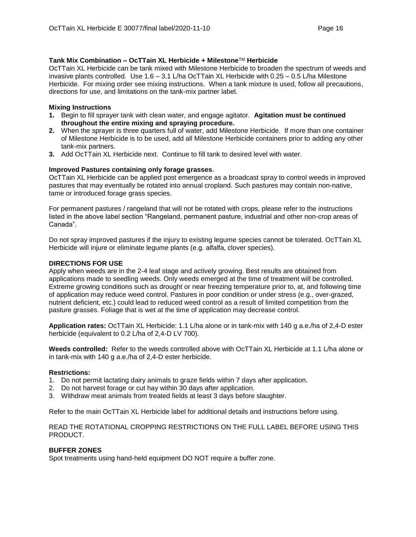## **Tank Mix Combination – OcTTain XL Herbicide + Milestone**TM **Herbicide**

OcTTain XL Herbicide can be tank mixed with Milestone Herbicide to broaden the spectrum of weeds and invasive plants controlled. Use 1.6 – 3.1 L/ha OcTTain XL Herbicide with 0.25 – 0.5 L/ha Milestone Herbicide. For mixing order see mixing instructions. When a tank mixture is used, follow all precautions, directions for use, and limitations on the tank-mix partner label.

## **Mixing Instructions**

- **1.** Begin to fill sprayer tank with clean water, and engage agitator. **Agitation must be continued throughout the entire mixing and spraying procedure.**
- **2.** When the sprayer is three quarters full of water, add Milestone Herbicide. If more than one container of Milestone Herbicide is to be used, add all Milestone Herbicide containers prior to adding any other tank-mix partners.
- **3.** Add OcTTain XL Herbicide next. Continue to fill tank to desired level with water.

## **Improved Pastures containing only forage grasses.**

OcTTain XL Herbicide can be applied post emergence as a broadcast spray to control weeds in improved pastures that may eventually be rotated into annual cropland. Such pastures may contain non-native, tame or introduced forage grass species.

For permanent pastures / rangeland that will not be rotated with crops, please refer to the instructions listed in the above label section "Rangeland, permanent pasture, industrial and other non-crop areas of Canada".

Do not spray improved pastures if the injury to existing legume species cannot be tolerated. OcTTain XL Herbicide will injure or eliminate legume plants (e.g. alfalfa, clover species).

## **DIRECTIONS FOR USE**

Apply when weeds are in the 2-4 leaf stage and actively growing. Best results are obtained from applications made to seedling weeds. Only weeds emerged at the time of treatment will be controlled. Extreme growing conditions such as drought or near freezing temperature prior to, at, and following time of application may reduce weed control. Pastures in poor condition or under stress (e.g., over-grazed, nutrient deficient, etc.) could lead to reduced weed control as a result of limited competition from the pasture grasses. Foliage that is wet at the time of application may decrease control.

**Application rates:** OcTTain XL Herbicide: 1.1 L/ha alone or in tank-mix with 140 g a.e./ha of 2,4-D ester herbicide (equivalent to 0.2 L/ha of 2,4-D LV 700).

**Weeds controlled:** Refer to the weeds controlled above with OcTTain XL Herbicide at 1.1 L/ha alone or in tank-mix with 140 g a.e./ha of 2,4-D ester herbicide.

### **Restrictions:**

- 1. Do not permit lactating dairy animals to graze fields within 7 days after application.
- 2. Do not harvest forage or cut hay within 30 days after application.
- 3. Withdraw meat animals from treated fields at least 3 days before slaughter.

Refer to the main OcTTain XL Herbicide label for additional details and instructions before using.

READ THE ROTATIONAL CROPPING RESTRICTIONS ON THE FULL LABEL BEFORE USING THIS PRODUCT.

### **BUFFER ZONES**

Spot treatments using hand-held equipment DO NOT require a buffer zone.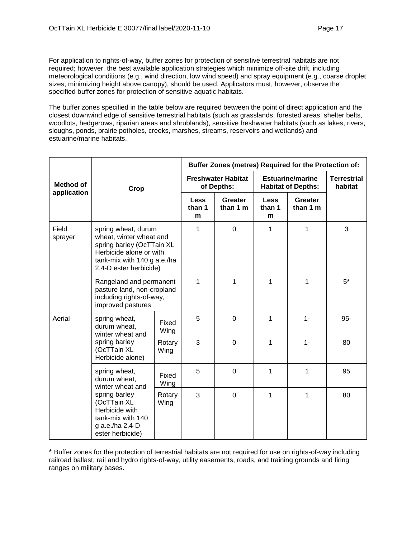For application to rights-of-way, buffer zones for protection of sensitive terrestrial habitats are not required; however, the best available application strategies which minimize off-site drift, including meteorological conditions (e.g., wind direction, low wind speed) and spray equipment (e.g., coarse droplet sizes, minimizing height above canopy), should be used. Applicators must, however, observe the specified buffer zones for protection of sensitive aquatic habitats.

The buffer zones specified in the table below are required between the point of direct application and the closest downwind edge of sensitive terrestrial habitats (such as grasslands, forested areas, shelter belts, woodlots, hedgerows, riparian areas and shrublands), sensitive freshwater habitats (such as lakes, rivers, sloughs, ponds, prairie potholes, creeks, marshes, streams, reservoirs and wetlands) and estuarine/marine habitats.

|                                                                                                                                                                                     | Crop                                                                                                                                                                            |                | Buffer Zones (metres) Required for the Protection of: |                            |                                                      |                     |                               |
|-------------------------------------------------------------------------------------------------------------------------------------------------------------------------------------|---------------------------------------------------------------------------------------------------------------------------------------------------------------------------------|----------------|-------------------------------------------------------|----------------------------|------------------------------------------------------|---------------------|-------------------------------|
| <b>Method of</b>                                                                                                                                                                    |                                                                                                                                                                                 |                | <b>Freshwater Habitat</b><br>of Depths:               |                            | <b>Estuarine/marine</b><br><b>Habitat of Depths:</b> |                     | <b>Terrestrial</b><br>habitat |
| application                                                                                                                                                                         |                                                                                                                                                                                 |                | <b>Less</b><br>than 1<br>m                            | <b>Greater</b><br>than 1 m | <b>Less</b><br>than 1<br>m                           | Greater<br>than 1 m |                               |
| Field<br>spring wheat, durum<br>wheat, winter wheat and<br>sprayer<br>spring barley (OcTTain XL<br>Herbicide alone or with<br>tank-mix with 140 g a.e./ha<br>2,4-D ester herbicide) |                                                                                                                                                                                 |                | 1                                                     | $\overline{0}$             | 1                                                    | 1                   | 3                             |
|                                                                                                                                                                                     | Rangeland and permanent<br>pasture land, non-cropland<br>including rights-of-way,<br>improved pastures                                                                          |                | 1                                                     | $\mathbf{1}$               | 1                                                    | 1                   | $5*$                          |
| Aerial                                                                                                                                                                              | spring wheat,<br>durum wheat.<br>winter wheat and<br>spring barley<br>(OcTTain XL<br>Herbicide alone)                                                                           | Fixed<br>Wing  | 5                                                     | $\overline{0}$             | 1                                                    | $1 -$               | $95 -$                        |
|                                                                                                                                                                                     |                                                                                                                                                                                 | Rotary<br>Wing | 3                                                     | $\mathbf 0$                | 1                                                    | $1 -$               | 80                            |
|                                                                                                                                                                                     | spring wheat,<br>durum wheat.<br>Wing<br>winter wheat and<br>spring barley<br>(OcTTain XL<br>Wing<br>Herbicide with<br>tank-mix with 140<br>g a.e./ha 2,4-D<br>ester herbicide) | Fixed          | 5                                                     | $\mathbf 0$                | 1                                                    | 1                   | 95                            |
|                                                                                                                                                                                     |                                                                                                                                                                                 | Rotary         | 3                                                     | $\overline{0}$             | 1                                                    | 1                   | 80                            |

\* Buffer zones for the protection of terrestrial habitats are not required for use on rights-of-way including railroad ballast, rail and hydro rights-of-way, utility easements, roads, and training grounds and firing ranges on military bases.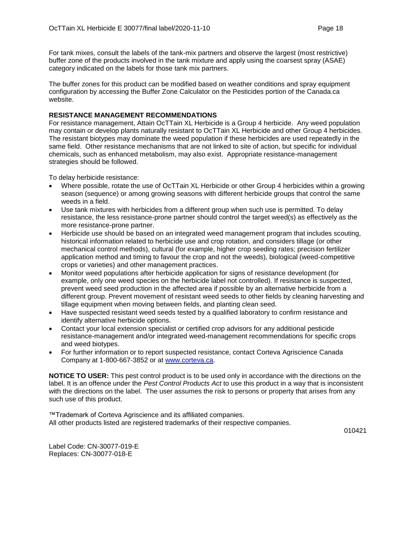For tank mixes, consult the labels of the tank-mix partners and observe the largest (most restrictive) buffer zone of the products involved in the tank mixture and apply using the coarsest spray (ASAE) category indicated on the labels for those tank mix partners.

The buffer zones for this product can be modified based on weather conditions and spray equipment configuration by accessing the Buffer Zone Calculator on the Pesticides portion of the Canada.ca website.

### **RESISTANCE MANAGEMENT RECOMMENDATIONS**

For resistance management, Attain OcTTain XL Herbicide is a Group 4 herbicide. Any weed population may contain or develop plants naturally resistant to OcTTain XL Herbicide and other Group 4 herbicides. The resistant biotypes may dominate the weed population if these herbicides are used repeatedly in the same field. Other resistance mechanisms that are not linked to site of action, but specific for individual chemicals, such as enhanced metabolism, may also exist. Appropriate resistance-management strategies should be followed.

To delay herbicide resistance:

- Where possible, rotate the use of OcTTain XL Herbicide or other Group 4 herbicides within a growing season (sequence) or among growing seasons with different herbicide groups that control the same weeds in a field.
- Use tank mixtures with herbicides from a different group when such use is permitted. To delay resistance, the less resistance-prone partner should control the target weed(s) as effectively as the more resistance-prone partner.
- Herbicide use should be based on an integrated weed management program that includes scouting, historical information related to herbicide use and crop rotation, and considers tillage (or other mechanical control methods), cultural (for example, higher crop seeding rates; precision fertilizer application method and timing to favour the crop and not the weeds), biological (weed-competitive crops or varieties) and other management practices.
- Monitor weed populations after herbicide application for signs of resistance development (for example, only one weed species on the herbicide label not controlled). If resistance is suspected, prevent weed seed production in the affected area if possible by an alternative herbicide from a different group. Prevent movement of resistant weed seeds to other fields by cleaning harvesting and tillage equipment when moving between fields, and planting clean seed.
- Have suspected resistant weed seeds tested by a qualified laboratory to confirm resistance and identify alternative herbicide options.
- Contact your local extension specialist or certified crop advisors for any additional pesticide resistance-management and/or integrated weed-management recommendations for specific crops and weed biotypes.
- For further information or to report suspected resistance, contact Corteva Agriscience Canada Company at 1-800-667-3852 or at [www.corteva.ca.](http://www.corteva.ca/)

**NOTICE TO USER:** This pest control product is to be used only in accordance with the directions on the label. It is an offence under the *Pest Control Products Act* to use this product in a way that is inconsistent with the directions on the label. The user assumes the risk to persons or property that arises from any such use of this product.

™Trademark of Corteva Agriscience and its affiliated companies. All other products listed are registered trademarks of their respective companies.

010421

Label Code: CN-30077-019-E Replaces: CN-30077-018-E